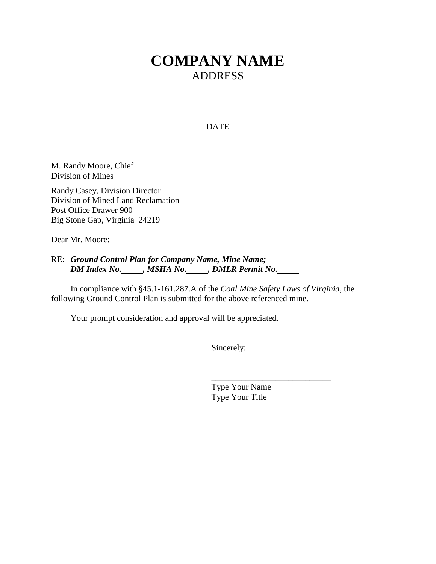# **COMPANY NAME** ADDRESS

### DATE

M. Randy Moore, Chief Division of Mines

Randy Casey, Division Director Division of Mined Land Reclamation Post Office Drawer 900 Big Stone Gap, Virginia 24219

Dear Mr. Moore:

RE: *Ground Control Plan for Company Name, Mine Name; DM Index No. , MSHA No. , DMLR Permit No.*

In compliance with §45.1-161.287.A of the *Coal Mine Safety Laws of Virginia*, the following Ground Control Plan is submitted for the above referenced mine.

Your prompt consideration and approval will be appreciated.

Sincerely:

Type Your Name Type Your Title

\_\_\_\_\_\_\_\_\_\_\_\_\_\_\_\_\_\_\_\_\_\_\_\_\_\_\_\_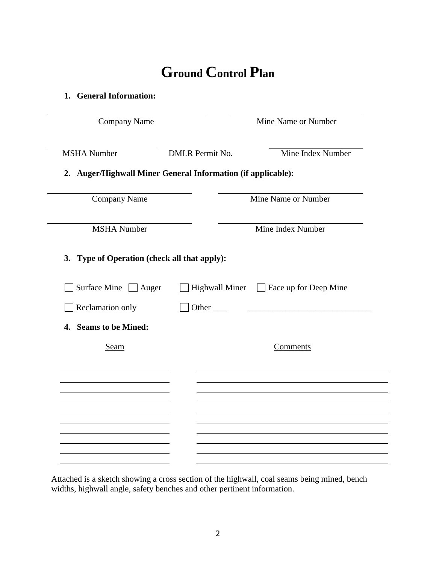# **Ground Control Plan**

**1. General Information:**

| Company Name                                                 |                        | Mine Name or Number                         |  |
|--------------------------------------------------------------|------------------------|---------------------------------------------|--|
| <b>MSHA</b> Number                                           | <b>DMLR</b> Permit No. | Mine Index Number                           |  |
| 2. Auger/Highwall Miner General Information (if applicable): |                        |                                             |  |
| <b>Company Name</b>                                          |                        | Mine Name or Number                         |  |
| <b>MSHA</b> Number                                           |                        | Mine Index Number                           |  |
| 3. Type of Operation (check all that apply):                 |                        |                                             |  |
| Surface Mine $\Box$ Auger                                    |                        | Highwall Miner $\Box$ Face up for Deep Mine |  |
| Reclamation only                                             |                        |                                             |  |
| 4. Seams to be Mined:                                        |                        |                                             |  |
| Seam                                                         |                        | Comments                                    |  |
|                                                              |                        |                                             |  |
|                                                              |                        |                                             |  |
|                                                              |                        |                                             |  |
|                                                              |                        |                                             |  |
|                                                              |                        |                                             |  |
|                                                              |                        |                                             |  |

Attached is a sketch showing a cross section of the highwall, coal seams being mined, bench widths, highwall angle, safety benches and other pertinent information.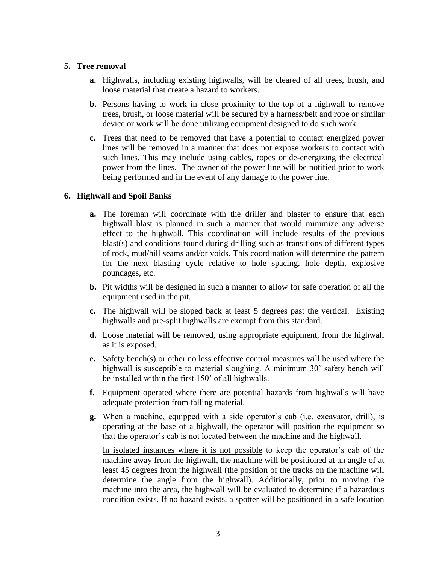# **5. Tree removal**

- **a.** Highwalls, including existing highwalls, will be cleared of all trees, brush, and loose material that create a hazard to workers.
- **b.** Persons having to work in close proximity to the top of a highwall to remove trees, brush, or loose material will be secured by a harness/belt and rope or similar device or work will be done utilizing equipment designed to do such work.
- **c.** Trees that need to be removed that have a potential to contact energized power lines will be removed in a manner that does not expose workers to contact with such lines. This may include using cables, ropes or de-energizing the electrical power from the lines. The owner of the power line will be notified prior to work being performed and in the event of any damage to the power line.

# **6. Highwall and Spoil Banks**

- **a.** The foreman will coordinate with the driller and blaster to ensure that each highwall blast is planned in such a manner that would minimize any adverse effect to the highwall. This coordination will include results of the previous blast(s) and conditions found during drilling such as transitions of different types of rock, mud/hill seams and/or voids. This coordination will determine the pattern for the next blasting cycle relative to hole spacing, hole depth, explosive poundages, etc.
- **b.** Pit widths will be designed in such a manner to allow for safe operation of all the equipment used in the pit.
- **c.** The highwall will be sloped back at least 5 degrees past the vertical. Existing highwalls and pre-split highwalls are exempt from this standard.
- **d.** Loose material will be removed, using appropriate equipment, from the highwall as it is exposed.
- **e.** Safety bench(s) or other no less effective control measures will be used where the highwall is susceptible to material sloughing. A minimum 30' safety bench will be installed within the first 150' of all highwalls.
- **f.** Equipment operated where there are potential hazards from highwalls will have adequate protection from falling material.
- **g.** When a machine, equipped with a side operator's cab (i.e. excavator, drill), is operating at the base of a highwall, the operator will position the equipment so that the operator's cab is not located between the machine and the highwall.

In isolated instances where it is not possible to keep the operator's cab of the machine away from the highwall, the machine will be positioned at an angle of at least 45 degrees from the highwall (the position of the tracks on the machine will determine the angle from the highwall). Additionally, prior to moving the machine into the area, the highwall will be evaluated to determine if a hazardous condition exists. If no hazard exists, a spotter will be positioned in a safe location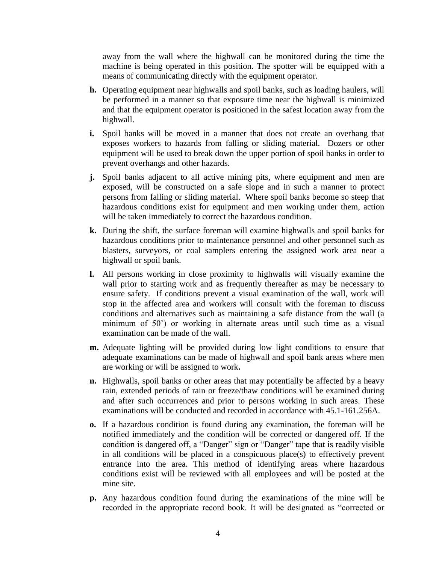away from the wall where the highwall can be monitored during the time the machine is being operated in this position. The spotter will be equipped with a means of communicating directly with the equipment operator.

- **h.** Operating equipment near highwalls and spoil banks, such as loading haulers, will be performed in a manner so that exposure time near the highwall is minimized and that the equipment operator is positioned in the safest location away from the highwall.
- **i.** Spoil banks will be moved in a manner that does not create an overhang that exposes workers to hazards from falling or sliding material. Dozers or other equipment will be used to break down the upper portion of spoil banks in order to prevent overhangs and other hazards.
- **j.** Spoil banks adjacent to all active mining pits, where equipment and men are exposed, will be constructed on a safe slope and in such a manner to protect persons from falling or sliding material. Where spoil banks become so steep that hazardous conditions exist for equipment and men working under them, action will be taken immediately to correct the hazardous condition.
- **k.** During the shift, the surface foreman will examine highwalls and spoil banks for hazardous conditions prior to maintenance personnel and other personnel such as blasters, surveyors, or coal samplers entering the assigned work area near a highwall or spoil bank.
- **l.** All persons working in close proximity to highwalls will visually examine the wall prior to starting work and as frequently thereafter as may be necessary to ensure safety. If conditions prevent a visual examination of the wall, work will stop in the affected area and workers will consult with the foreman to discuss conditions and alternatives such as maintaining a safe distance from the wall (a minimum of 50') or working in alternate areas until such time as a visual examination can be made of the wall.
- **m.** Adequate lighting will be provided during low light conditions to ensure that adequate examinations can be made of highwall and spoil bank areas where men are working or will be assigned to work**.**
- **n.** Highwalls, spoil banks or other areas that may potentially be affected by a heavy rain, extended periods of rain or freeze/thaw conditions will be examined during and after such occurrences and prior to persons working in such areas. These examinations will be conducted and recorded in accordance with 45.1-161.256A.
- **o.** If a hazardous condition is found during any examination, the foreman will be notified immediately and the condition will be corrected or dangered off. If the condition is dangered off, a "Danger" sign or "Danger" tape that is readily visible in all conditions will be placed in a conspicuous place(s) to effectively prevent entrance into the area. This method of identifying areas where hazardous conditions exist will be reviewed with all employees and will be posted at the mine site.
- **p.** Any hazardous condition found during the examinations of the mine will be recorded in the appropriate record book. It will be designated as "corrected or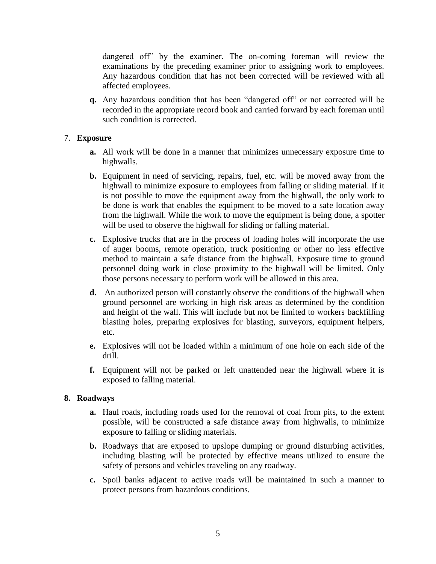dangered off" by the examiner. The on-coming foreman will review the examinations by the preceding examiner prior to assigning work to employees. Any hazardous condition that has not been corrected will be reviewed with all affected employees.

**q.** Any hazardous condition that has been "dangered off" or not corrected will be recorded in the appropriate record book and carried forward by each foreman until such condition is corrected.

# 7. **Exposure**

- **a.** All work will be done in a manner that minimizes unnecessary exposure time to highwalls.
- **b.** Equipment in need of servicing, repairs, fuel, etc. will be moved away from the highwall to minimize exposure to employees from falling or sliding material. If it is not possible to move the equipment away from the highwall, the only work to be done is work that enables the equipment to be moved to a safe location away from the highwall. While the work to move the equipment is being done, a spotter will be used to observe the highwall for sliding or falling material.
- **c.** Explosive trucks that are in the process of loading holes will incorporate the use of auger booms, remote operation, truck positioning or other no less effective method to maintain a safe distance from the highwall. Exposure time to ground personnel doing work in close proximity to the highwall will be limited. Only those persons necessary to perform work will be allowed in this area.
- **d.** An authorized person will constantly observe the conditions of the highwall when ground personnel are working in high risk areas as determined by the condition and height of the wall. This will include but not be limited to workers backfilling blasting holes, preparing explosives for blasting, surveyors, equipment helpers, etc.
- **e.** Explosives will not be loaded within a minimum of one hole on each side of the drill.
- **f.** Equipment will not be parked or left unattended near the highwall where it is exposed to falling material.

# **8. Roadways**

- **a.** Haul roads, including roads used for the removal of coal from pits, to the extent possible, will be constructed a safe distance away from highwalls, to minimize exposure to falling or sliding materials.
- **b.** Roadways that are exposed to upslope dumping or ground disturbing activities, including blasting will be protected by effective means utilized to ensure the safety of persons and vehicles traveling on any roadway.
- **c.** Spoil banks adjacent to active roads will be maintained in such a manner to protect persons from hazardous conditions.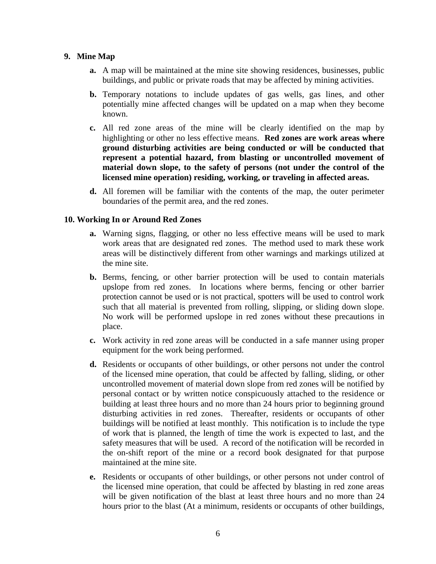# **9. Mine Map**

- **a.** A map will be maintained at the mine site showing residences, businesses, public buildings, and public or private roads that may be affected by mining activities.
- **b.** Temporary notations to include updates of gas wells, gas lines, and other potentially mine affected changes will be updated on a map when they become known.
- **c.** All red zone areas of the mine will be clearly identified on the map by highlighting or other no less effective means. **Red zones are work areas where ground disturbing activities are being conducted or will be conducted that represent a potential hazard, from blasting or uncontrolled movement of material down slope, to the safety of persons (not under the control of the licensed mine operation) residing, working, or traveling in affected areas.**
- **d.** All foremen will be familiar with the contents of the map, the outer perimeter boundaries of the permit area, and the red zones.

# **10. Working In or Around Red Zones**

- **a.** Warning signs, flagging, or other no less effective means will be used to mark work areas that are designated red zones. The method used to mark these work areas will be distinctively different from other warnings and markings utilized at the mine site.
- **b.** Berms, fencing, or other barrier protection will be used to contain materials upslope from red zones. In locations where berms, fencing or other barrier protection cannot be used or is not practical, spotters will be used to control work such that all material is prevented from rolling, slipping, or sliding down slope. No work will be performed upslope in red zones without these precautions in place.
- **c.** Work activity in red zone areas will be conducted in a safe manner using proper equipment for the work being performed.
- **d.** Residents or occupants of other buildings, or other persons not under the control of the licensed mine operation, that could be affected by falling, sliding, or other uncontrolled movement of material down slope from red zones will be notified by personal contact or by written notice conspicuously attached to the residence or building at least three hours and no more than 24 hours prior to beginning ground disturbing activities in red zones. Thereafter, residents or occupants of other buildings will be notified at least monthly. This notification is to include the type of work that is planned, the length of time the work is expected to last, and the safety measures that will be used. A record of the notification will be recorded in the on-shift report of the mine or a record book designated for that purpose maintained at the mine site.
- **e.** Residents or occupants of other buildings, or other persons not under control of the licensed mine operation, that could be affected by blasting in red zone areas will be given notification of the blast at least three hours and no more than 24 hours prior to the blast (At a minimum, residents or occupants of other buildings,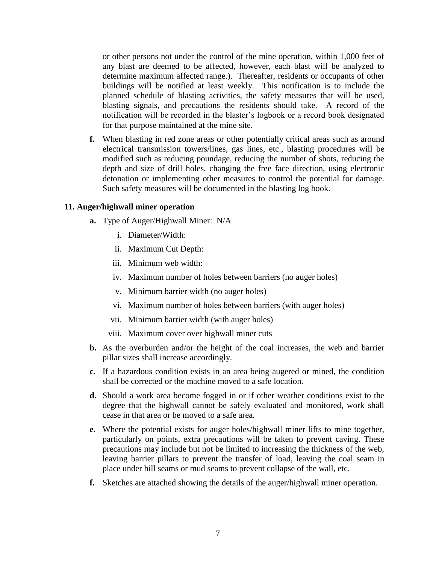or other persons not under the control of the mine operation, within 1,000 feet of any blast are deemed to be affected, however, each blast will be analyzed to determine maximum affected range.). Thereafter, residents or occupants of other buildings will be notified at least weekly. This notification is to include the planned schedule of blasting activities, the safety measures that will be used, blasting signals, and precautions the residents should take. A record of the notification will be recorded in the blaster's logbook or a record book designated for that purpose maintained at the mine site.

**f.** When blasting in red zone areas or other potentially critical areas such as around electrical transmission towers/lines, gas lines, etc., blasting procedures will be modified such as reducing poundage, reducing the number of shots, reducing the depth and size of drill holes, changing the free face direction, using electronic detonation or implementing other measures to control the potential for damage. Such safety measures will be documented in the blasting log book.

#### **11. Auger/highwall miner operation**

- **a.** Type of Auger/Highwall Miner: N/A
	- i. Diameter/Width:
	- ii. Maximum Cut Depth:
	- iii. Minimum web width:
	- iv. Maximum number of holes between barriers (no auger holes)
	- v. Minimum barrier width (no auger holes)
	- vi. Maximum number of holes between barriers (with auger holes)
	- vii. Minimum barrier width (with auger holes)
	- viii. Maximum cover over highwall miner cuts
- **b.** As the overburden and/or the height of the coal increases, the web and barrier pillar sizes shall increase accordingly.
- **c.** If a hazardous condition exists in an area being augered or mined, the condition shall be corrected or the machine moved to a safe location.
- **d.** Should a work area become fogged in or if other weather conditions exist to the degree that the highwall cannot be safely evaluated and monitored, work shall cease in that area or be moved to a safe area.
- **e.** Where the potential exists for auger holes/highwall miner lifts to mine together, particularly on points, extra precautions will be taken to prevent caving. These precautions may include but not be limited to increasing the thickness of the web, leaving barrier pillars to prevent the transfer of load, leaving the coal seam in place under hill seams or mud seams to prevent collapse of the wall, etc.
- **f.** Sketches are attached showing the details of the auger/highwall miner operation.